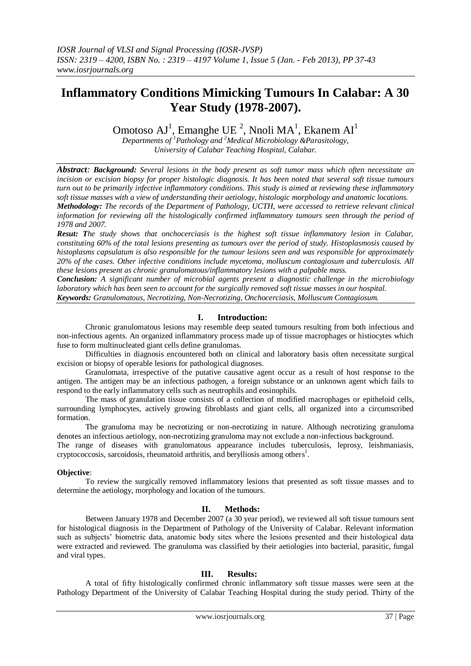# **Inflammatory Conditions Mimicking Tumours In Calabar: A 30 Year Study (1978-2007).**

Omotoso  $AJ^1$ , Emanghe UE<sup>2</sup>, Nnoli MA<sup>1</sup>, Ekanem AI<sup>1</sup>

*Departments of <sup>1</sup>Pathology and <sup>2</sup>Medical Microbiology &Parasitology, University of Calabar Teaching Hospital, Calabar.*

*Abstract: Background: Several lesions in the body present as soft tumor mass which often necessitate an incision or excision biopsy for proper histologic diagnosis. It has been noted that several soft tissue tumours turn out to be primarily infective inflammatory conditions. This study is aimed at reviewing these inflammatory soft tissue masses with a view of understanding their aetiology, histologic morphology and anatomic locations. Methodology: The records of the Department of Pathology, UCTH, were accessed to retrieve relevant clinical information for reviewing all the histologically confirmed inflammatory tumours seen through the period of 1978 and 2007.*

*Resut: The study shows that onchocerciasis is the highest soft tissue inflammatory lesion in Calabar, constituting 60% of the total lesions presenting as tumours over the period of study. Histoplasmosis caused by histoplasms capsulatum is also responsible for the tumour lesions seen and was responsible for approximately 20% of the cases. Other infective conditions include mycetoma, molluscum contagiosum and tuberculosis. All these lesions present as chronic granulomatous/inflammatory lesions with a palpable mass.*

*Conclusion: A significant number of microbial agents present a diagnostic challenge in the microbiology laboratory which has been seen to account for the surgically removed soft tissue masses in our hospital. Keywords: Granulomatous, Necrotizing, Non-Necrotizing, Onchocerciasis, Molluscum Contagiosum.* 

# **I. Introduction:**

Chronic granulomatous lesions may resemble deep seated tumours resulting from both infectious and non-infectious agents. An organized inflammatory process made up of tissue macrophages or histiocytes which fuse to form multinucleated giant cells define granulomas.

Difficulties in diagnosis encountered both on clinical and laboratory basis often necessitate surgical excision or biopsy of operable lesions for pathological diagnoses.

Granulomata, irrespective of the putative causative agent occur as a result of host response to the antigen. The antigen may be an infectious pathogen, a foreign substance or an unknown agent which fails to respond to the early inflammatory cells such as neutrophils and eosinophils.

The mass of granulation tissue consists of a collection of modified macrophages or epitheloid cells, surrounding lymphocytes, actively growing fibroblasts and giant cells, all organized into a circumscribed formation.

The granuloma may be necrotizing or non-necrotizing in nature. Although necrotizing granuloma denotes an infectious aetiology, non-necrotizing granuloma may not exclude a non-infectious background.

The range of diseases with granulomatous appearance includes tuberculosis, leprosy, leishmaniasis, cryptococcosis, sarcoidosis, rheumatoid arthritis, and berylliosis among others 1 .

## **Objective**:

To review the surgically removed inflammatory lesions that presented as soft tissue masses and to determine the aetiology, morphology and location of the tumours.

## **II. Methods:**

Between January 1978 and December 2007 (a 30 year period), we reviewed all soft tissue tumours sent for histological diagnosis in the Department of Pathology of the University of Calabar. Relevant information such as subjects' biometric data, anatomic body sites where the lesions presented and their histological data were extracted and reviewed. The granuloma was classified by their aetiologies into bacterial, parasitic, fungal and viral types.

## **III. Results:**

A total of fifty histologically confirmed chronic inflammatory soft tissue masses were seen at the Pathology Department of the University of Calabar Teaching Hospital during the study period. Thirty of the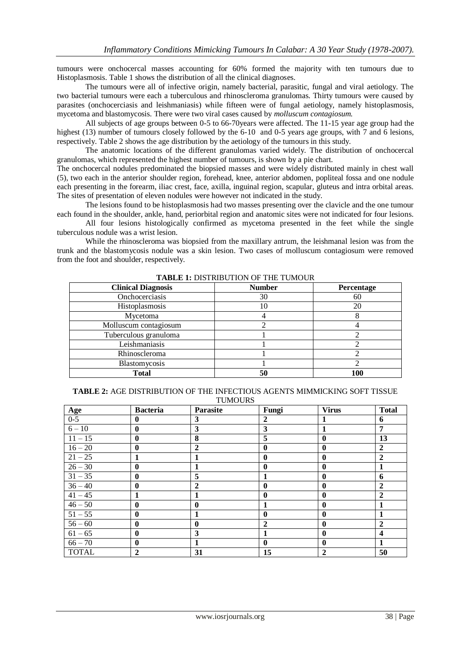tumours were onchocercal masses accounting for 60% formed the majority with ten tumours due to Histoplasmosis. Table 1 shows the distribution of all the clinical diagnoses.

The tumours were all of infective origin, namely bacterial, parasitic, fungal and viral aetiology. The two bacterial tumours were each a tuberculous and rhinoscleroma granulomas. Thirty tumours were caused by parasites (onchocerciasis and leishmaniasis) while fifteen were of fungal aetiology, namely histoplasmosis, mycetoma and blastomycosis. There were two viral cases caused by *molluscum contagiosum.*

All subjects of age groups between 0-5 to 66-70years were affected. The 11-15 year age group had the highest (13) number of tumours closely followed by the 6-10 and 0-5 years age groups, with 7 and 6 lesions, respectively. Table 2 shows the age distribution by the aetiology of the tumours in this study.

The anatomic locations of the different granulomas varied widely. The distribution of onchocercal granulomas, which represented the highest number of tumours, is shown by a pie chart.

The onchocercal nodules predominated the biopsied masses and were widely distributed mainly in chest wall (5), two each in the anterior shoulder region, forehead, knee, anterior abdomen, popliteal fossa and one nodule each presenting in the forearm, iliac crest, face, axilla, inguinal region, scapular, gluteus and intra orbital areas. The sites of presentation of eleven nodules were however not indicated in the study.

The lesions found to be histoplasmosis had two masses presenting over the clavicle and the one tumour each found in the shoulder, ankle, hand, periorbital region and anatomic sites were not indicated for four lesions.

All four lesions histologically confirmed as mycetoma presented in the feet while the single tuberculous nodule was a wrist lesion.

While the rhinoscleroma was biopsied from the maxillary antrum, the leishmanal lesion was from the trunk and the blastomycosis nodule was a skin lesion. Two cases of molluscum contagiosum were removed from the foot and shoulder, respectively.

| <b>Clinical Diagnosis</b> | <b>Number</b> | <b>Percentage</b> |  |  |  |  |
|---------------------------|---------------|-------------------|--|--|--|--|
| Onchocerciasis            | 30            | 60                |  |  |  |  |
| Histoplasmosis            |               | 20                |  |  |  |  |
| Mycetoma                  |               |                   |  |  |  |  |
| Molluscum contagiosum     |               |                   |  |  |  |  |
| Tuberculous granuloma     |               |                   |  |  |  |  |
| Leishmaniasis             |               |                   |  |  |  |  |
| Rhinoscleroma             |               |                   |  |  |  |  |
| Blastomycosis             |               |                   |  |  |  |  |
| <b>Total</b>              |               | 100               |  |  |  |  |

**TABLE 1:** DISTRIBUTION OF THE TUMOUR

| <b>TABLE 2: AGE DISTRIBUTION OF THE INFECTIOUS AGENTS MIMMICKING SOFT TISSUE</b> |
|----------------------------------------------------------------------------------|
| <b>TUMOURS</b>                                                                   |

| Age          | <b>Bacteria</b> | Parasite     | Fungi          | <b>Virus</b> | <b>Total</b>            |
|--------------|-----------------|--------------|----------------|--------------|-------------------------|
| $0-5$        | 0               | 3            | $\overline{2}$ | 1            | 6                       |
| $6 - 10$     | $\bf{0}$        | 3            | 3              | 1            | $\overline{7}$          |
| $11 - 15$    | 0               | 8            | 5              | $\mathbf{0}$ | 13                      |
| $16 - 20$    | 0               | $\mathbf{2}$ | $\bf{0}$       | $\mathbf{0}$ | $\overline{2}$          |
| $21 - 25$    |                 |              | $\mathbf{0}$   | $\mathbf{0}$ | $\mathbf{2}$            |
| $26 - 30$    | 0               | 1            | $\mathbf{0}$   | $\mathbf{0}$ | 1                       |
| $31 - 35$    | 0               | 5            |                | $\mathbf{0}$ | 6                       |
| $36 - 40$    | $\bf{0}$        | $\mathbf{2}$ | $\mathbf{0}$   | $\mathbf{0}$ | $\overline{2}$          |
| $41 - 45$    |                 | 1            | $\mathbf{0}$   | $\mathbf{0}$ | $\mathbf{2}$            |
| $46 - 50$    | 0               | $\mathbf 0$  |                | $\mathbf{0}$ | 1                       |
| $51 - 55$    | $\mathbf{0}$    | 1            | $\mathbf{0}$   | $\mathbf{0}$ | 1                       |
| $56 - 60$    | $\mathbf{0}$    | $\mathbf 0$  | $\overline{2}$ | $\mathbf{0}$ | $\mathbf{2}$            |
| $61 - 65$    | 0               | 3            |                | $\mathbf{0}$ | $\overline{\mathbf{4}}$ |
| $66 - 70$    | $\mathbf{0}$    | 1            | $\mathbf{0}$   | $\bf{0}$     | 1                       |
| <b>TOTAL</b> | $\mathbf{2}$    | 31           | 15             | $\mathbf{2}$ | 50                      |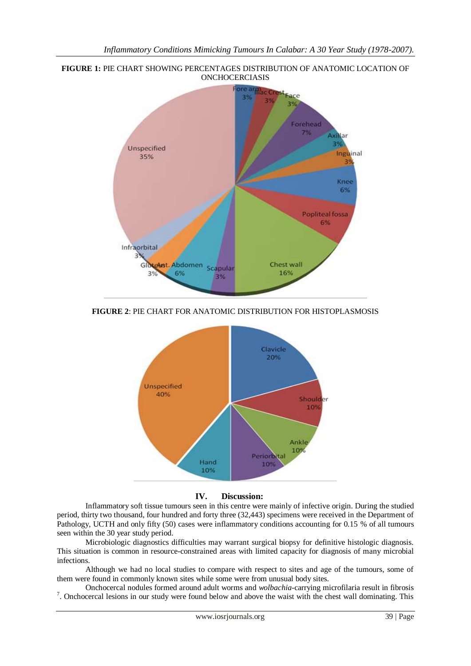

## **FIGURE 1:** PIE CHART SHOWING PERCENTAGES DISTRIBUTION OF ANATOMIC LOCATION OF **ONCHOCERCIASIS**

**FIGURE 2**: PIE CHART FOR ANATOMIC DISTRIBUTION FOR HISTOPLASMOSIS



## **IV. Discussion:**

Inflammatory soft tissue tumours seen in this centre were mainly of infective origin. During the studied period, thirty two thousand, four hundred and forty three (32,443) specimens were received in the Department of Pathology, UCTH and only fifty (50) cases were inflammatory conditions accounting for 0.15 % of all tumours seen within the 30 year study period.

Microbiologic diagnostics difficulties may warrant surgical biopsy for definitive histologic diagnosis. This situation is common in resource-constrained areas with limited capacity for diagnosis of many microbial infections.

Although we had no local studies to compare with respect to sites and age of the tumours, some of them were found in commonly known sites while some were from unusual body sites.

Onchocercal nodules formed around adult worms and *wolbachia*-carrying microfilaria result in fibrosis  $<sup>7</sup>$ . Onchocercal lesions in our study were found below and above the waist with the chest wall dominating. This</sup>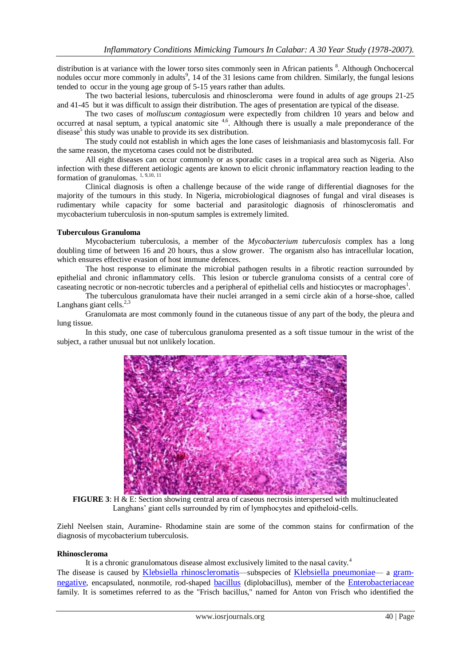distribution is at variance with the lower torso sites commonly seen in African patients<sup>8</sup>. Although Onchocercal nodules occur more commonly in adults<sup>9</sup>, 14 of the 31 lesions came from children. Similarly, the fungal lesions tended to occur in the young age group of 5-15 years rather than adults.

The two bacterial lesions, tuberculosis and rhinoscleroma were found in adults of age groups 21-25 and 41-45 but it was difficult to assign their distribution. The ages of presentation are typical of the disease.

The two cases of *molluscum contagiosum* were expectedly from children 10 years and below and occurred at nasal septum, a typical anatomic site <sup>4,6</sup>. Although there is usually a male preponderance of the disease<sup>5</sup> this study was unable to provide its sex distribution.

The study could not establish in which ages the lone cases of leishmaniasis and blastomycosis fall. For the same reason, the mycetoma cases could not be distributed.

All eight diseases can occur commonly or as sporadic cases in a tropical area such as Nigeria. Also infection with these different aetiologic agents are known to elicit chronic inflammatory reaction leading to the formation of granulomas. 1, 9,10, 11

Clinical diagnosis is often a challenge because of the wide range of differential diagnoses for the majority of the tumours in this study. In Nigeria, microbiological diagnoses of fungal and viral diseases is rudimentary while capacity for some bacterial and parasitologic diagnosis of rhinoscleromatis and mycobacterium tuberculosis in non-sputum samples is extremely limited.

## **Tuberculous Granuloma**

Mycobacterium tuberculosis, a member of the *Mycobacterium tuberculosis* complex has a long doubling time of between 16 and 20 hours, thus a slow grower. The organism also has intracellular location, which ensures effective evasion of host immune defences.

The host response to eliminate the microbial pathogen results in a fibrotic reaction surrounded by epithelial and chronic inflammatory cells. This lesion or tubercle granuloma consists of a central core of caseating necrotic or non-necrotic tubercles and a peripheral of epithelial cells and histiocytes or macrophages<sup>1</sup>.

The tuberculous granulomata have their nuclei arranged in a semi circle akin of a horse-shoe, called Langhans giant cells. $2,3$ 

Granulomata are most commonly found in the cutaneous tissue of any part of the body, the pleura and lung tissue.

In this study, one case of tuberculous granuloma presented as a soft tissue tumour in the wrist of the subject, a rather unusual but not unlikely location.



**FIGURE 3**: H & E: Section showing central area of caseous necrosis interspersed with multinucleated Langhans' giant cells surrounded by rim of lymphocytes and epitheloid-cells.

Ziehl Neelsen stain, Auramine- Rhodamine stain are some of the common stains for confirmation of the diagnosis of mycobacterium tuberculosis.

#### **Rhinoscleroma**

It is a chronic granulomatous disease almost exclusively limited to the nasal cavity.<sup>4</sup>

The disease is caused by [Klebsiella rhinoscleromatis](http://en.wikipedia.org/wiki/Klebsiella_rhinoscleromatis)—subspecies of [Klebsiella pneumoniae](http://en.wikipedia.org/wiki/Klebsiella_pneumoniae)— a [gram](http://en.wikipedia.org/wiki/Gram-negative)[negative](http://en.wikipedia.org/wiki/Gram-negative), encapsulated, nonmotile, rod-shaped [bacillus](http://en.wikipedia.org/wiki/Bacillus) (diplobacillus), member of the [Enterobacteriaceae](http://en.wikipedia.org/wiki/Enterobacteriaceae) family. It is sometimes referred to as the "Frisch bacillus," named for Anton von Frisch who identified the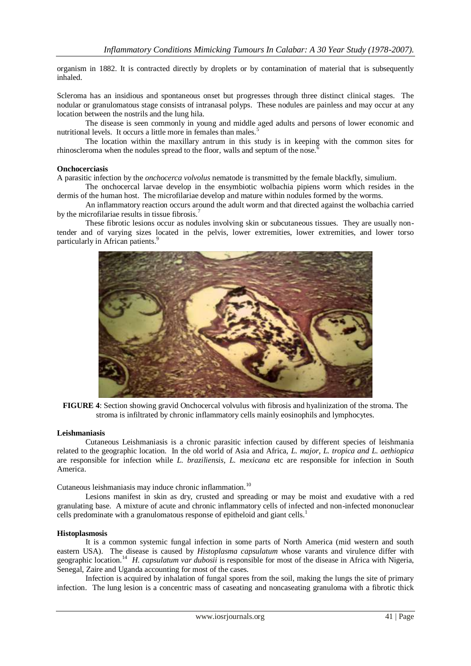organism in 1882. It is contracted directly by droplets or by contamination of material that is subsequently inhaled.

Scleroma has an insidious and spontaneous onset but progresses through three distinct clinical stages. The nodular or granulomatous stage consists of intranasal polyps. These nodules are painless and may occur at any location between the nostrils and the lung hila.

The disease is seen commonly in young and middle aged adults and persons of lower economic and nutritional levels. It occurs a little more in females than males.<sup>5</sup>

The location within the maxillary antrum in this study is in keeping with the common sites for rhinoscleroma when the nodules spread to the floor, walls and septum of the nose.<sup>6</sup>

#### **Onchocerciasis**

A parasitic infection by the *onchocerca volvolus* nematode is transmitted by the female blackfly, simulium.

The onchocercal larvae develop in the ensymbiotic wolbachia pipiens worm which resides in the dermis of the human host. The microfilariae develop and mature within nodules formed by the worms.

An inflammatory reaction occurs around the adult worm and that directed against the wolbachia carried by the microfilariae results in tissue fibrosis.<sup>7</sup>

These fibrotic lesions occur as nodules involving skin or subcutaneous tissues. They are usually nontender and of varying sizes located in the pelvis, lower extremities, lower extremities, and lower torso particularly in African patients.<sup>9</sup>



**FIGURE 4**: Section showing gravid Onchocercal volvulus with fibrosis and hyalinization of the stroma. The stroma is infiltrated by chronic inflammatory cells mainly eosinophils and lymphocytes.

#### **Leishmaniasis**

Cutaneous Leishmaniasis is a chronic parasitic infection caused by different species of leishmania related to the geographic location. In the old world of Asia and Africa, *L. major, L. tropica and L. aethiopica* are responsible for infection while *L. braziliensis, L. mexicana* etc are responsible for infection in South America.

Cutaneous leishmaniasis may induce chronic inflammation.<sup>10</sup>

Lesions manifest in skin as dry, crusted and spreading or may be moist and exudative with a red granulating base. A mixture of acute and chronic inflammatory cells of infected and non-infected mononuclear cells predominate with a granulomatous response of epitheloid and giant cells.<sup>1</sup>

#### **Histoplasmosis**

It is a common systemic fungal infection in some parts of North America (mid western and south eastern USA). The disease is caused by *Histoplasma capsulatum* whose varants and virulence differ with geographic location.<sup>14</sup>*H. capsulatum var dubosii* is responsible for most of the disease in Africa with Nigeria, Senegal, Zaire and Uganda accounting for most of the cases.

Infection is acquired by inhalation of fungal spores from the soil, making the lungs the site of primary infection. The lung lesion is a concentric mass of caseating and noncaseating granuloma with a fibrotic thick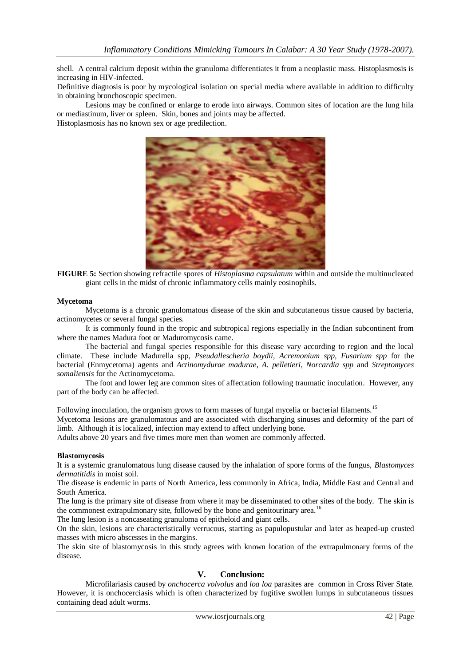shell. A central calcium deposit within the granuloma differentiates it from a neoplastic mass. Histoplasmosis is increasing in HIV-infected.

Definitive diagnosis is poor by mycological isolation on special media where available in addition to difficulty in obtaining bronchoscopic specimen.

Lesions may be confined or enlarge to erode into airways. Common sites of location are the lung hila or mediastinum, liver or spleen. Skin, bones and joints may be affected. Histoplasmosis has no known sex or age predilection.

**FIGURE 5:** Section showing refractile spores of *Histoplasma capsulatum* within and outside the multinucleated giant cells in the midst of chronic inflammatory cells mainly eosinophils.

## **Mycetoma**

Mycetoma is a chronic granulomatous disease of the skin and subcutaneous tissue caused by bacteria, actinomycetes or several fungal species.

It is commonly found in the tropic and subtropical regions especially in the Indian subcontinent from where the names Madura foot or Maduromycosis came.

The bacterial and fungal species responsible for this disease vary according to region and the local climate. These include Madurella spp, *Pseudallescheria boydii*, *Acremonium spp, Fusarium spp* for the bacterial (Enmycetoma) agents and *Actinomydurae madurae*, *A. pelletieri*, *Norcardia spp* and *Streptomyces somaliensis* for the Actinomycetoma.

The foot and lower leg are common sites of affectation following traumatic inoculation. However, any part of the body can be affected.

Following inoculation, the organism grows to form masses of fungal mycelia or bacterial filaments.<sup>15</sup>

Mycetoma lesions are granulomatous and are associated with discharging sinuses and deformity of the part of limb. Although it is localized, infection may extend to affect underlying bone.

Adults above 20 years and five times more men than women are commonly affected.

## **Blastomycosis**

It is a systemic granulomatous lung disease caused by the inhalation of spore forms of the fungus, *Blastomyces dermatitidis* in moist soil.

The disease is endemic in parts of North America, less commonly in Africa, India, Middle East and Central and South America.

The lung is the primary site of disease from where it may be disseminated to other sites of the body. The skin is the commonest extrapulmonary site, followed by the bone and genitourinary area.<sup>16</sup>

The lung lesion is a noncaseating granuloma of epitheloid and giant cells.

On the skin, lesions are characteristically verrucous, starting as papulopustular and later as heaped-up crusted masses with micro abscesses in the margins.

The skin site of blastomycosis in this study agrees with known location of the extrapulmonary forms of the disease.

## **V. Conclusion:**

Microfilariasis caused by *onchocerca volvolus* and *loa loa* parasites are common in Cross River State. However, it is onchocerciasis which is often characterized by fugitive swollen lumps in subcutaneous tissues containing dead adult worms.